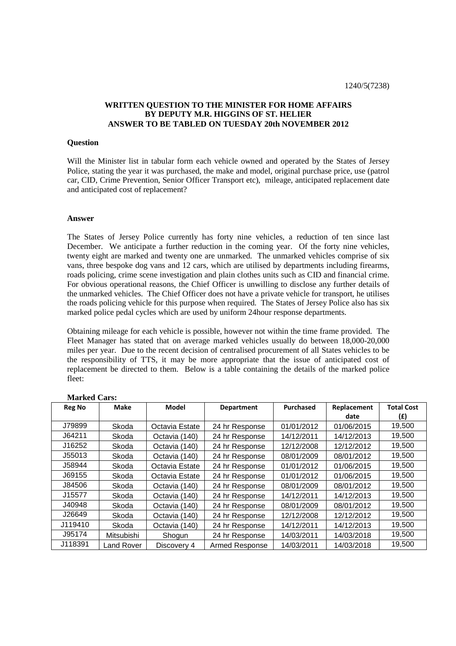# **WRITTEN QUESTION TO THE MINISTER FOR HOME AFFAIRS BY DEPUTY M.R. HIGGINS OF ST. HELIER ANSWER TO BE TABLED ON TUESDAY 20th NOVEMBER 2012**

#### **Question**

Will the Minister list in tabular form each vehicle owned and operated by the States of Jersey Police, stating the year it was purchased, the make and model, original purchase price, use (patrol car, CID, Crime Prevention, Senior Officer Transport etc), mileage, anticipated replacement date and anticipated cost of replacement?

### **Answer**

The States of Jersey Police currently has forty nine vehicles, a reduction of ten since last December. We anticipate a further reduction in the coming year. Of the forty nine vehicles, twenty eight are marked and twenty one are unmarked. The unmarked vehicles comprise of six vans, three bespoke dog vans and 12 cars, which are utilised by departments including firearms, roads policing, crime scene investigation and plain clothes units such as CID and financial crime. For obvious operational reasons, the Chief Officer is unwilling to disclose any further details of the unmarked vehicles. The Chief Officer does not have a private vehicle for transport, he utilises the roads policing vehicle for this purpose when required. The States of Jersey Police also has six marked police pedal cycles which are used by uniform 24hour response departments.

Obtaining mileage for each vehicle is possible, however not within the time frame provided. The Fleet Manager has stated that on average marked vehicles usually do between 18,000-20,000 miles per year. Due to the recent decision of centralised procurement of all States vehicles to be the responsibility of TTS, it may be more appropriate that the issue of anticipated cost of replacement be directed to them. Below is a table containing the details of the marked police fleet:

| <b>Reg No</b> | <b>Make</b> | <b>Model</b>   | <b>Department</b> | Purchased  | Replacement | <b>Total Cost</b> |
|---------------|-------------|----------------|-------------------|------------|-------------|-------------------|
|               |             |                |                   |            | date        | (£)               |
| J79899        | Skoda       | Octavia Estate | 24 hr Response    | 01/01/2012 | 01/06/2015  | 19,500            |
| J64211        | Skoda       | Octavia (140)  | 24 hr Response    | 14/12/2011 | 14/12/2013  | 19,500            |
| J16252        | Skoda       | Octavia (140)  | 24 hr Response    | 12/12/2008 | 12/12/2012  | 19,500            |
| J55013        | Skoda       | Octavia (140)  | 24 hr Response    | 08/01/2009 | 08/01/2012  | 19,500            |
| J58944        | Skoda       | Octavia Estate | 24 hr Response    | 01/01/2012 | 01/06/2015  | 19,500            |
| J69155        | Skoda       | Octavia Estate | 24 hr Response    | 01/01/2012 | 01/06/2015  | 19,500            |
| J84506        | Skoda       | Octavia (140)  | 24 hr Response    | 08/01/2009 | 08/01/2012  | 19,500            |
| J15577        | Skoda       | Octavia (140)  | 24 hr Response    | 14/12/2011 | 14/12/2013  | 19,500            |
| J40948        | Skoda       | Octavia (140)  | 24 hr Response    | 08/01/2009 | 08/01/2012  | 19,500            |
| J26649        | Skoda       | Octavia (140)  | 24 hr Response    | 12/12/2008 | 12/12/2012  | 19,500            |
| J119410       | Skoda       | Octavia (140)  | 24 hr Response    | 14/12/2011 | 14/12/2013  | 19,500            |
| J95174        | Mitsubishi  | Shogun         | 24 hr Response    | 14/03/2011 | 14/03/2018  | 19,500            |
| J118391       | and Rover   | Discovery 4    | Armed Response    | 14/03/2011 | 14/03/2018  | 19,500            |

## **Marked Cars:**